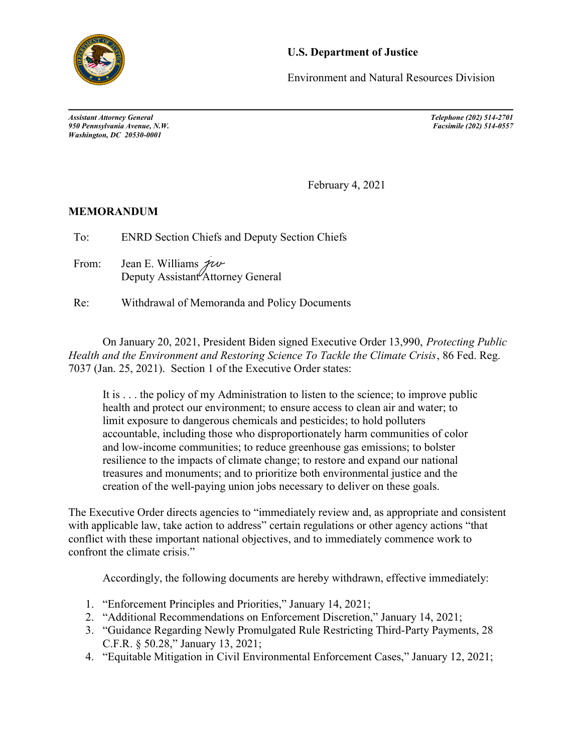

## U.S. Department of Justice

Environment and Natural Resources Division

Assistant Attorney General Telephone (202) 514-2701 950 Pennsylvania Avenue, N.W. Washington, DC 20530-0001

February 4, 2021

## MEMORANDUM

To: ENRD Section Chiefs and Deputy Section Chiefs

From: Jean E. Williams  $\mathcal{H}\psi$ Deputy Assistant<sup>*Attorney* General</sup>

Re: Withdrawal of Memoranda and Policy Documents

On January 20, 2021, President Biden signed Executive Order 13,990, Protecting Public Health and the Environment and Restoring Science To Tackle the Climate Crisis, 86 Fed. Reg. 7037 (Jan. 25, 2021). Section 1 of the Executive Order states:

It is . . . the policy of my Administration to listen to the science; to improve public health and protect our environment; to ensure access to clean air and water; to limit exposure to dangerous chemicals and pesticides; to hold polluters accountable, including those who disproportionately harm communities of color and low-income communities; to reduce greenhouse gas emissions; to bolster resilience to the impacts of climate change; to restore and expand our national treasures and monuments; and to prioritize both environmental justice and the creation of the well-paying union jobs necessary to deliver on these goals.

The Executive Order directs agencies to "immediately review and, as appropriate and consistent with applicable law, take action to address" certain regulations or other agency actions "that conflict with these important national objectives, and to immediately commence work to confront the climate crisis."

Accordingly, the following documents are hereby withdrawn, effective immediately:

- 1. "Enforcement Principles and Priorities," January 14, 2021;
- 2. "Additional Recommendations on Enforcement Discretion," January 14, 2021;
- 3. "Guidance Regarding Newly Promulgated Rule Restricting Third-Party Payments, 28 C.F.R. § 50.28," January 13, 2021;
- 4. "Equitable Mitigation in Civil Environmental Enforcement Cases," January 12, 2021;